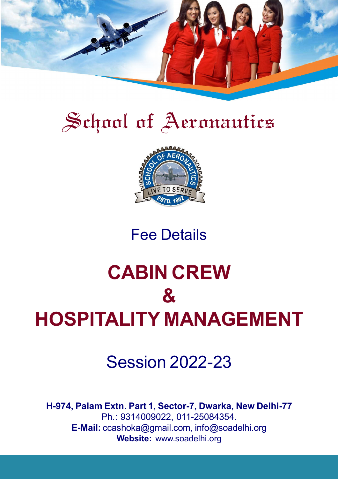

# School of Aeronautics



## Fee Details

## School of Aeronautics **CABIN CREW & HOSPITALITY MANAGEMENT**

## Session 2022-23

**H-974, Palam Extn. Part 1, Sector-7, Dwarka, New Delhi-77** Ph.: 9314009022, 011-25084354. **E-Mail:** ccashoka@gmail.com, info@soadelhi.org **Website:** www.soadelhi.org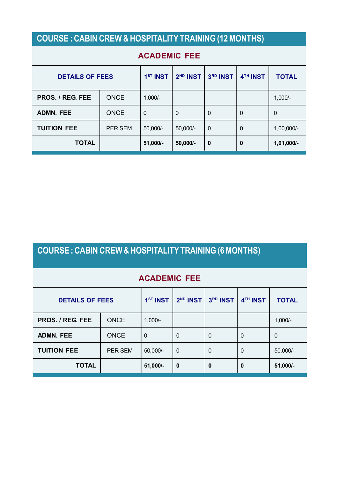### **COURSE : CABIN CREW & HOSPITALITY TRAINING (12 MONTHS)**

| <b>DETAILS OF FEES</b>  |             | 1 <sup>ST</sup> INST | 2 <sup>ND</sup> INST | 3RD INST         | 4 <sup>TH</sup> INST | <b>TOTAL</b> |  |
|-------------------------|-------------|----------------------|----------------------|------------------|----------------------|--------------|--|
| <b>PROS. / REG. FEE</b> | <b>ONCE</b> | $1,000/-$            |                      |                  |                      | $1,000/-$    |  |
| <b>ADMN. FEE</b>        | <b>ONCE</b> | $\overline{0}$       | $\mathbf 0$          | $\mathbf 0$      | $\mathbf 0$          | $\mathbf 0$  |  |
| <b>TUITION FEE</b>      | PER SEM     | 50,000/-             | $50,000/-$           | $\mathbf 0$      | $\mathbf 0$          | 1,00,000/-   |  |
| <b>TOTAL</b>            |             | 51,000/-             | 50,000/-             | $\boldsymbol{0}$ | 0                    | 1,01,000/-   |  |

### **ACADEMIC FEE**

## **COURSE : CABIN CREW & HOSPITALITY TRAINING (6 MONTHS)**

### **ACADEMIC FEE**

| <b>DETAILS OF FEES</b> |             | 1 <sup>ST</sup> INST | 2 <sup>ND</sup> INST | 3RD INST    | 4 <sup>TH</sup> INST | <b>TOTAL</b> |
|------------------------|-------------|----------------------|----------------------|-------------|----------------------|--------------|
| PROS. / REG. FEE       | <b>ONCE</b> | $1,000/-$            |                      |             |                      | $1,000/-$    |
| <b>ADMN. FEE</b>       | <b>ONCE</b> | $\mathbf{0}$         | 0                    | $\mathbf 0$ | $\Omega$             | 0            |
| <b>TUITION FEE</b>     | PER SEM     | $50,000/-$           | 0                    | 0           | $\Omega$             | 50,000/-     |
| <b>TOTAL</b>           |             | 51,000/-             | 0                    | $\bf{0}$    | 0                    | 51,000/-     |